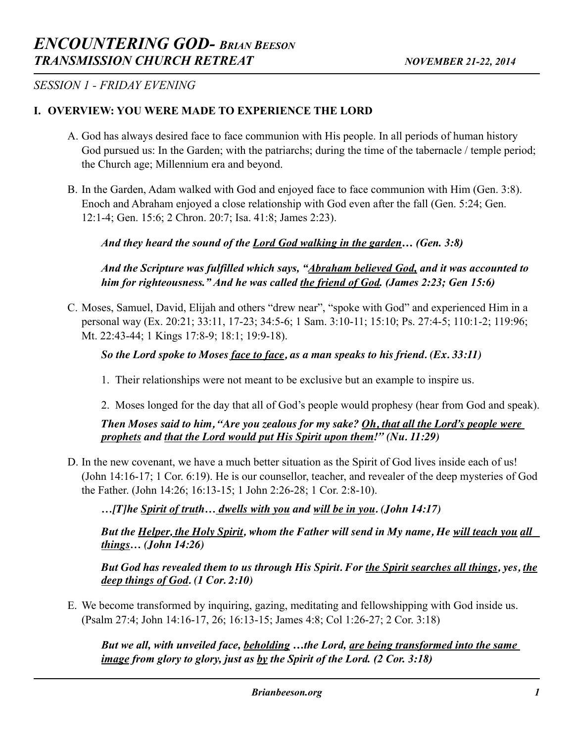*SESSION 1 - FRIDAY EVENING* 

## **I. OVERVIEW: YOU WERE MADE TO EXPERIENCE THE LORD**

- A. God has always desired face to face communion with His people. In all periods of human history God pursued us: In the Garden; with the patriarchs; during the time of the tabernacle / temple period; the Church age; Millennium era and beyond.
- B. In the Garden, Adam walked with God and enjoyed face to face communion with Him (Gen. 3:8). Enoch and Abraham enjoyed a close relationship with God even after the fall (Gen. 5:24; Gen. 12:1-4; Gen. 15:6; 2 Chron. 20:7; Isa. 41:8; James 2:23).

# *And they heard the sound of the Lord God walking in the garden… (Gen. 3:8)*

*And the Scripture was fulfilled which says, "Abraham believed God, and it was accounted to him for righteousness." And he was called the friend of God. (James 2:23; Gen 15:6)*

C. Moses, Samuel, David, Elijah and others "drew near", "spoke with God" and experienced Him in a personal way (Ex. 20:21; 33:11, 17-23; 34:5-6; 1 Sam. 3:10-11; 15:10; Ps. 27:4-5; 110:1-2; 119:96; Mt. 22:43-44; 1 Kings 17:8-9; 18:1; 19:9-18).

# *So the Lord spoke to Moses <u>face to face</u>, as a man speaks to his friend. (Ex. 33:11)*

- 1. Their relationships were not meant to be exclusive but an example to inspire us.
- 2. Moses longed for the day that all of God's people would prophesy (hear from God and speak).

*Then Moses said to him, "Are you zealous for my sake? Oh, that all the Lord's people were prophets and that the Lord would put His Spirit upon them!" (Nu. 11:29)* 

D. In the new covenant, we have a much better situation as the Spirit of God lives inside each of us! (John 14:16-17; 1 Cor. 6:19). He is our counsellor, teacher, and revealer of the deep mysteries of God the Father. (John 14:26; 16:13-15; 1 John 2:26-28; 1 Cor. 2:8-10).

 *…[T]he Spirit of truth… dwells with you and will be in you. (John 14:17)*

 *But the Helper, the Holy Spirit, whom the Father will send in My name, He will teach you all things… (John 14:26)*

 *But God has revealed them to us through His Spirit. For the Spirit searches all things, yes, the deep things of God. (1 Cor. 2:10)*

E. We become transformed by inquiring, gazing, meditating and fellowshipping with God inside us. (Psalm 27:4; John 14:16-17, 26; 16:13-15; James 4:8; Col 1:26-27; 2 Cor. 3:18)

*But we all, with unveiled face, beholding …the Lord, are being transformed into the same image from glory to glory, just as by the Spirit of the Lord. (2 Cor. 3:18)*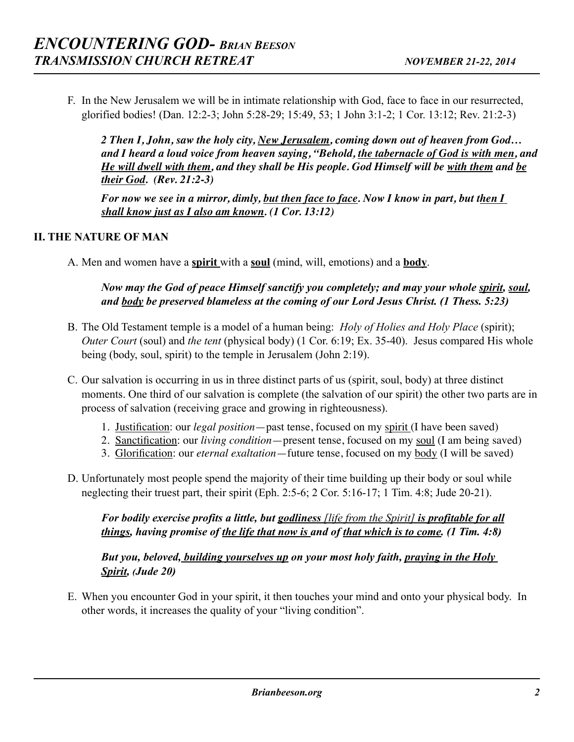F. In the New Jerusalem we will be in intimate relationship with God, face to face in our resurrected, glorified bodies! (Dan. 12:2-3; John 5:28-29; 15:49, 53; 1 John 3:1-2; 1 Cor. 13:12; Rev. 21:2-3)

*2 Then I, John, saw the holy city, New Jerusalem, coming down out of heaven from God… and I heard a loud voice from heaven saying, "Behold, the tabernacle of God is with men, and He will dwell with them, and they shall be His people. God Himself will be with them and be their God. (Rev. 21:2-3)*

*For now we see in a mirror, dimly, but then face to face. Now I know in part, but then I shall know just as I also am known.* (1 Cor. 13:12)

# **II. THE NATURE OF MAN**

A. Men and women have a **spirit** with a **soul** (mind, will, emotions) and a **body**.

# *Now may the God of peace Himself sanctify you completely; and may your whole spirit, soul, and body be preserved blameless at the coming of our Lord Jesus Christ. (1 Thess. 5:23)*

- B. The Old Testament temple is a model of a human being: *Holy of Holies and Holy Place* (spirit); *Outer Court* (soul) and *the tent* (physical body) (1 Cor. 6:19; Ex. 35-40). Jesus compared His whole being (body, soul, spirit) to the temple in Jerusalem (John 2:19).
- C. Our salvation is occurring in us in three distinct parts of us (spirit, soul, body) at three distinct moments. One third of our salvation is complete (the salvation of our spirit) the other two parts are in process of salvation (receiving grace and growing in righteousness).
	- 1. Justification: our *legal position*—past tense, focused on my spirit (I have been saved)
	- 2. Sanctification: our *living condition*—present tense, focused on my soul (I am being saved)
	- 3. Glorification: our *eternal exaltation*—future tense, focused on my body (I will be saved)
- D. Unfortunately most people spend the majority of their time building up their body or soul while neglecting their truest part, their spirit (Eph. 2:5-6; 2 Cor. 5:16-17; 1 Tim. 4:8; Jude 20-21).

 *For bodily exercise profits a little, but godliness [life from the Spirit] is profitable for all things, having promise of the life that now is and of that which is to come. (1 Tim. 4:8)* 

 *But you, beloved, building yourselves up on your most holy faith, praying in the Holy Spirit, (Jude 20)* 

E. When you encounter God in your spirit, it then touches your mind and onto your physical body. In other words, it increases the quality of your "living condition".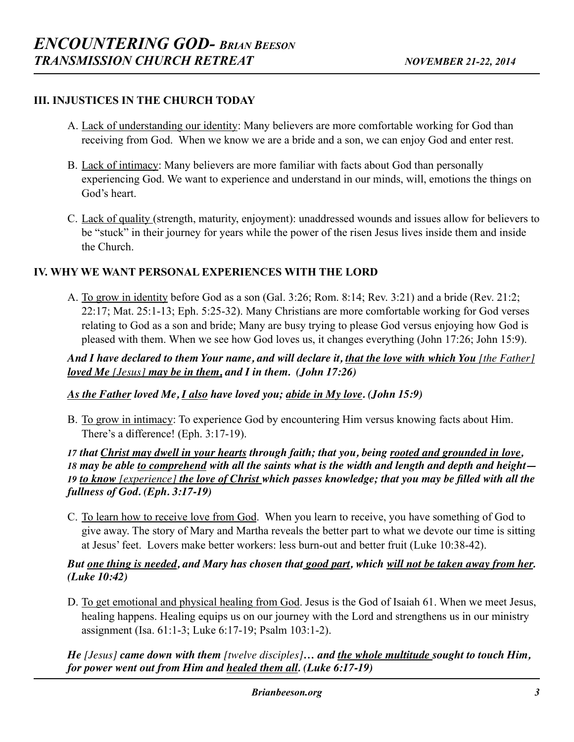## **III. INJUSTICES IN THE CHURCH TODAY**

- A. Lack of understanding our identity: Many believers are more comfortable working for God than receiving from God. When we know we are a bride and a son, we can enjoy God and enter rest.
- B. Lack of intimacy: Many believers are more familiar with facts about God than personally experiencing God. We want to experience and understand in our minds, will, emotions the things on God's heart.
- C. Lack of quality (strength, maturity, enjoyment): unaddressed wounds and issues allow for believers to be "stuck" in their journey for years while the power of the risen Jesus lives inside them and inside the Church.

#### **IV. WHY WE WANT PERSONAL EXPERIENCES WITH THE LORD**

A. To grow in identity before God as a son (Gal. 3:26; Rom. 8:14; Rev. 3:21) and a bride (Rev. 21:2; 22:17; Mat. 25:1-13; Eph. 5:25-32). Many Christians are more comfortable working for God verses relating to God as a son and bride; Many are busy trying to please God versus enjoying how God is pleased with them. When we see how God loves us, it changes everything (John 17:26; John 15:9).

*And I have declared to them Your name, and will declare it, that the love with which You [the Father] loved Me [Jesus] may be in them, and I in them. (John 17:26)*

*As the Father loved Me, I also have loved you; abide in My love. (John 15:9)*

B. To grow in intimacy: To experience God by encountering Him versus knowing facts about Him. There's a difference! (Eph. 3:17-19).

 *that Christ may dwell in your hearts through faith; that you, being rooted and grounded in love, may be able to comprehend with all the saints what is the width and length and depth and height— to know [experience] the love of Christ which passes knowledge; that you may be filled with all the fullness of God. (Eph. 3:17-19)*

C. To learn how to receive love from God. When you learn to receive, you have something of God to give away. The story of Mary and Martha reveals the better part to what we devote our time is sitting at Jesus' feet. Lovers make better workers: less burn-out and better fruit (Luke 10:38-42).

#### *But one thing is needed, and Mary has chosen that good part, which will not be taken away from her. (Luke 10:42)*

D. To get emotional and physical healing from God. Jesus is the God of Isaiah 61. When we meet Jesus, healing happens. Healing equips us on our journey with the Lord and strengthens us in our ministry assignment (Isa. 61:1-3; Luke 6:17-19; Psalm 103:1-2).

*He [Jesus] came down with them [twelve disciples]… and the whole multitude sought to touch Him, for power went out from Him and healed them all. (Luke 6:17-19)*